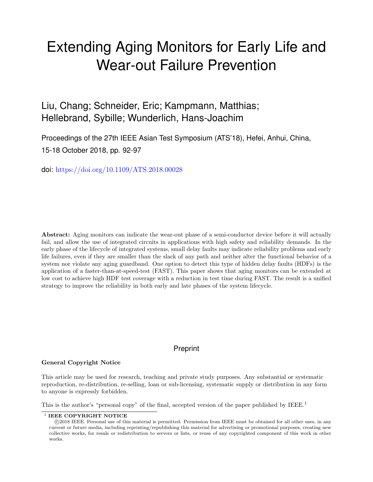# Extending Aging Monitors for Early Life and Wear-out Failure Prevention

# Liu, Chang; Schneider, Eric; Kampmann, Matthias; Hellebrand, Sybille; Wunderlich, Hans-Joachim

Proceedings of the 27th IEEE Asian Test Symposium (ATS'18), Hefei, Anhui, China, 15-18 October 2018, pp. 92-97

doi: <https://doi.org/10.1109/ATS.2018.00028>

Abstract: Aging monitors can indicate the wear-out phase of a semi-conductor device before it will actually fail, and allow the use of integrated circuits in applications with high safety and reliability demands. In the early phase of the lifecycle of integrated systems, small delay faults may indicate reliability problems and early life failures, even if they are smaller than the slack of any path and neither alter the functional behavior of a system nor violate any aging guardband. One option to detect this type of hidden delay faults (HDFs) is the application of a faster-than-at-speed-test (FAST). This paper shows that aging monitors can be extended at low cost to achieve high HDF test coverage with a reduction in test time during FAST. The result is a unified strategy to improve the reliability in both early and late phases of the system lifecycle.

# Preprint

# General Copyright Notice

This article may be used for research, teaching and private study purposes. Any substantial or systematic reproduction, re-distribution, re-selling, loan or sub-licensing, systematic supply or distribution in any form to anyone is expressly forbidden.

This is the author's "personal copy" of the final, accepted version of the paper published by IEEE.<sup>[1](#page-0-0)</sup>

<span id="page-0-0"></span><sup>&</sup>lt;sup>1</sup> IEEE COPYRIGHT NOTICE

c 2018 IEEE. Personal use of this material is permitted. Permission from IEEE must be obtained for all other uses, in any current or future media, including reprinting/republishing this material for advertising or promotional purposes, creating new collective works, for resale or redistribution to servers or lists, or reuse of any copyrighted component of this work in other works.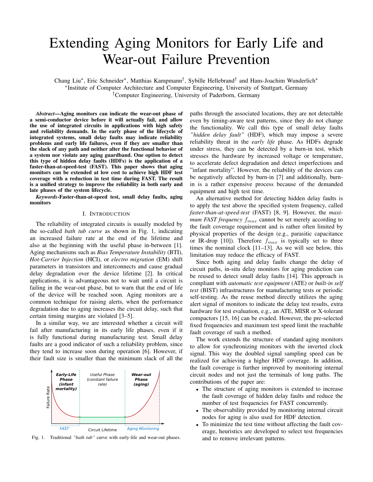# Extending Aging Monitors for Early Life and Wear-out Failure Prevention

Chang Liu<sup>\*</sup>, Eric Schneider<sup>\*</sup>, Matthias Kampmann<sup>†</sup>, Sybille Hellebrand<sup>†</sup> and Hans-Joachim Wunderlich<sup>\*</sup> ∗ Institute of Computer Architecture and Computer Engineering, University of Stuttgart, Germany †Computer Engineering, University of Paderborn, Germany

*Abstract*—Aging monitors can indicate the wear-out phase of a semi-conductor device before it will actually fail, and allow the use of integrated circuits in applications with high safety and reliability demands. In the early phase of the lifecycle of integrated systems, small delay faults may indicate reliability problems and early life failures, even if they are smaller than the slack of any path and neither alter the functional behavior of a system nor violate any aging guardband. One option to detect this type of hidden delay faults (HDFs) is the application of a faster-than-at-speed-test (FAST). This paper shows that aging monitors can be extended at low cost to achieve high HDF test coverage with a reduction in test time during FAST. The result is a unified strategy to improve the reliability in both early and late phases of the system lifecycle.

*Keywords*-Faster-than-at-speed test, small delay faults, aging monitors

# I. INTRODUCTION

The reliability of integrated circuits is usually modeled by the so-called *bath tub curve* as shown in Fig. 1, indicating an increased failure rate at the end of the lifetime and also at the beginning with the useful phase in-between [1]. Aging mechanisms such as *Bias Temperature Instability* (BTI), *Hot-Carrier Injection* (HCI), or *electro migration* (EM) shift parameters in transistors and interconnects and cause gradual delay degradation over the device lifetime [2]. In critical applications, it is advantageous not to wait until a circuit is failing in the wear-out phase, but to warn that the end of life of the device will be reached soon. Aging monitors are a common technique for raising alerts, when the performance degradation due to aging increases the circuit delay, such that certain timing margins are violated [3–5].

In a similar way, we are interested whether a circuit will fail after manufacturing in its early life phases, even if it is fully functional during manufacturing test. Small delay faults are a good indicator of such a reliability problem, since they tend to increase soon during operation [6]. However, if their fault size is smaller than the minimum slack of all the



Fig. 1. Traditional *"bath tub"* curve with early-life and wear-out phases.

paths through the associated locations, they are not detectable even by timing-aware test patterns, since they do not change the functionality. We call this type of small delay faults *"hidden delay fault"* (HDF), which may impose a severe reliability threat in the *early life* phase. As HDFs degrade under stress, they can be detected by a burn-in test, which stresses the hardware by increased voltage or temperature, to accelerate defect degradation and detect imperfections and "infant mortality". However, the reliability of the devices can be negatively affected by burn-in [7] and additionally, burnin is a rather expensive process because of the demanded equipment and high test time.

An alternative method for detecting hidden delay faults is to apply the test above the specified system frequency, called *faster-than-at-speed-test* (FAST) [8, 9]. However, the *maximum FAST frequency*  $f_{max}$  cannot be set merely according to the fault coverage requirement and is rather often limited by physical properties of the design (e.g., parasitic capacitance or IR-drop [10]). Therefore  $f_{max}$  is typically set to three times the nominal clock [11–13]. As we will see below, this limitation may reduce the efficacy of FAST.

Since both aging and delay faults change the delay of circuit paths, in-situ delay monitors for aging prediction can be reused to detect small delay faults [14]. This approach is compliant with *automatic test equipment* (ATE) or *built-in self test* (BIST) infrastructures for manufacturing tests or periodic self-testing. As the reuse method directly utilizes the aging alert signal of monitors to indicate the delay test results, extra hardware for test evaluation, e.g., an ATE, MISR or X-tolerant compactors [15, 16] can be evaded. However, the pre-selected fixed frequencies and maximum test speed limit the reachable fault coverage of such a method.

The work extends the structure of standard aging monitors to allow for synchronizing monitors with the inverted clock signal. This way the doubled signal sampling speed can be realized for achieving a higher HDF coverage. In addition, the fault coverage is further improved by monitoring internal circuit nodes and not just the terminals of long paths. The contributions of the paper are:

- The structure of aging monitors is extended to increase the fault coverage of hidden delay faults and reduce the number of test frequencies for FAST concurrently.
- The observability provided by monitoring internal circuit nodes for aging is also used for HDF detection.
- To minimize the test time without affecting the fault coverage, heuristics are developed to select test frequencies and to remove irrelevant patterns.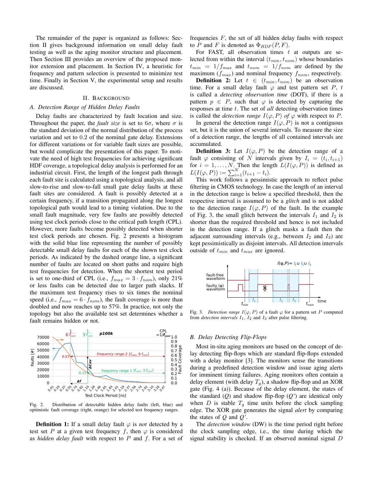The remainder of the paper is organized as follows: Section II gives background information on small delay fault testing as well as the aging monitor structure and placement. Then Section III provides an overview of the proposed monitor extension and placement. In Section IV, a heuristic for frequency and pattern selection is presented to minimize test time. Finally in Section V, the experimental setup and results are discussed.

# II. BACKGROUND

### *A. Detection Range of Hidden Delay Faults*

Delay faults are characterized by fault location and size. Throughout the paper, the *fault size* is set to  $6\sigma$ , where  $\sigma$  is the standard deviation of the normal distribution of the process variation and set to 0.2 of the nominal gate delay. Extensions for different variations or for variable fault sizes are possible, but would complicate the presentation of this paper. To motivate the need of high test frequencies for achieving significant HDF coverage, a topological delay analysis is performed for an industrial circuit. First, the length of the longest path through each fault site is calculated using a topological analysis, and all slow-to-rise and slow-to-fall small gate delay faults at these fault sites are considered. A fault is possibly detected at a certain frequency, if a transition propagated along the longest topological path would lead to a timing violation. Due to the small fault magnitude, very few faults are possibly detected using test clock periods close to the critical path length (CPL). However, more faults become possibly detected when shorter test clock periods are chosen. Fig. 2 presents a histogram with the solid blue line representing the number of possibly detectable small delay faults for each of the shown test clock periods. As indicated by the dashed orange line, a significant number of faults are located on short paths and require high test frequencies for detection. When the shortest test period is set to one-third of CPL (i.e.,  $f_{max} = 3 \cdot f_{nom}$ ), only 21% or less faults can be detected due to larger path slacks. If the maximum test frequency rises to six times the nominal speed (i.e.,  $f_{max} = 6 \cdot f_{nom}$ ), the fault coverage is more than doubled and now reaches up to 57%. In practice, not only the topology but also the available test set determines whether a fault remains hidden or not.



Fig. 2. Distribution of detectable hidden delay faults (left, blue) and optimistic fault coverage (right, orange) for selected test frequency ranges.

**Definition 1:** If a small delay fault  $\varphi$  is *not* detected by a test set P at a given test frequency f, then  $\varphi$  is considered as *hidden delay fault* with respect to P and f. For a set of frequencies  $F$ , the set of all hidden delay faults with respect to P and F is denoted as  $\Phi_{HDF}(P, F)$ .

For FAST, all observation times  $t$  at outputs are selected from within the interval  $(t_{min}, t_{nom})$  whose boundaries  $t_{min}$  =  $1/f_{max}$  and  $t_{nom}$  =  $1/f_{nom}$  are defined by the maximum ( $f_{max}$ ) and nominal frequency  $f_{nom}$ , respectively.

**Definition 2:** Let  $t \in (t_{min}, t_{nom})$  be an observation time. For a small delay fault  $\varphi$  and test pattern set P, t is called a *detecting observation time* (DOT), if there is a pattern  $p \in P$ , such that  $\varphi$  is detected by capturing the responses at time t. The set of *all* detecting observation times is called the *detection range*  $I(\varphi, P)$  *of*  $\varphi$  with respect to P.

In general the detection range  $I(\varphi, P)$  is not a contiguous set, but it is the union of several intervals. To measure the size of a detection range, the lengths of all contained intervals are accumulated.

**Definition 3:** Let  $I(\varphi, P)$  be the detection range of a fault  $\varphi$  consisting of N intervals given by  $I_i = (t_i, t_{i+1})$ for  $i = 1, ..., N$ . Then the length  $L(I(\varphi, P))$  is defined as  $L(I(\varphi, P)) := \sum_{i=1}^{N} (t_{i+1} - t_i).$ 

This work follows a pessimistic approach to reflect pulse filtering in CMOS technology. In case the length of an interval in the detection range is below a specified threshold, then the respective interval is assumed to be a *glitch* and is not added to the detection range  $I(\varphi, P)$  of the fault. In the example of Fig. 3, the small glitch between the intervals  $I_1$  and  $I_2$  is shorter than the required threshold and hence is not included in the detection range. If a glitch masks a fault then the adjacent surrounding intervals (e.g., between  $I_2$  and  $I_3$ ) are kept pessimistically as disjoint intervals. All detection intervals outside of  $t_{min}$  and  $t_{max}$  are ignored.



Fig. 3. *Detection range*  $I(\varphi, P)$  of a fault  $\varphi$  for a pattern set P computed from *detection intervals*  $I_1$ ,  $I_2$  and  $I_3$  after pulse filtering.

### *B. Delay Detecting Flip-Flops*

Most in-situ aging monitors are based on the concept of delay detecting flip-flops which are standard flip-flops extended with a delay monitor [3]. The monitors sense the transitions during a predefined detection window and issue aging alerts for imminent timing failures. Aging monitors often contain a delay element (with delay  $T_q$ ), a shadow flip-flop and an XOR gate (Fig. 4 (a)). Because of the delay element, the states of the standard (*Q*) and shadow flip-flop (*Q'*) are identical only when D is stable  $T_q$  time units before the clock sampling edge. The XOR gate generates the signal *alert* by comparing the states of *Q* and *Q'*.

The *detection window* (DW) is the time period right before the clock sampling edge, i.e., the time during which the signal stability is checked. If an observed nominal signal  $D$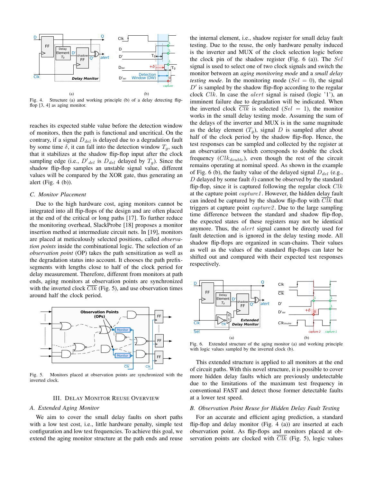

Fig. 4. Structure (a) and working principle (b) of a delay detecting flipflop [3, 4] as aging monitor.

reaches its expected stable value before the detection window of monitors, then the path is functional and uncritical. On the contrary, if a signal  $D_{del}$  is delayed due to a degradation fault by some time  $\delta$ , it can fall into the detection window  $T_q$ , such that it stabilizes at the shadow flip-flop input after the clock sampling edge (i.e.,  $D'_{del}$  is  $D_{del}$  delayed by  $T_g$ ). Since the shadow flip-flop samples an unstable signal value, different values will be compared by the XOR gate, thus generating an alert (Fig. 4 (b)).

# *C. Monitor Placement*

Due to the high hardware cost, aging monitors cannot be integrated into all flip-flops of the design and are often placed at the end of the critical or long paths [17]. To further reduce the monitoring overhead, SlackProbe [18] proposes a monitor insertion method at intermediate circuit nets. In [19], monitors are placed at meticulously selected positions, called *observation points* inside the combinational logic. The selection of an *observation point* (OP) takes the path sensitization as well as the degradation status into account. It chooses the path prefixsegments with lengths close to half of the clock period for delay measurement. Therefore, different from monitors at path ends, aging monitors at observation points are synchronized with the inverted clock  $\overline{Clk}$  (Fig. 5), and use observation times around half the clock period.



Fig. 5. Monitors placed at observation points are synchronized with the inverted clock.

# III. DELAY MONITOR REUSE OVERVIEW

# *A. Extended Aging Monitor*

We aim to cover the small delay faults on short paths with a low test cost, i.e., little hardware penalty, simple test configuration and low test frequencies. To achieve this goal, we extend the aging monitor structure at the path ends and reuse the internal element, i.e., shadow register for small delay fault testing. Due to the reuse, the only hardware penalty induced is the inverter and MUX of the clock selection logic before the clock pin of the shadow register (Fig. 6 (a)). The  $Sel$ signal is used to select one of two clock signals and switch the monitor between an *aging monitoring mode* and a *small delay testing mode*. In the monitoring mode ( $Sel = 0$ ), the signal  $D'$  is sampled by the shadow flip-flop according to the regular clock Clk. In case the *alert* signal is raised (logic  $'1'$ ), an imminent failure due to degradation will be indicated. When the inverted clock  $Clk$  is selected  $(Sel = 1)$ , the monitor works in the small delay testing mode. Assuming the sum of the delays of the inverter and MUX is in the same magnitude as the delay element  $(T_q)$ , signal D is sampled after about half of the clock period by the shadow flip-flop. Hence, the test responses can be sampled and collected by the register at an observation time which corresponds to double the clock frequency  $(Clk_{double})$ , even though the rest of the circuit remains operating at nominal speed. As shown in the example of Fig. 6 (b), the faulty value of the delayed signal  $D_{del}$  (e.g., D delayed by some fault  $\delta$ ) cannot be observed by the standard flip-flop, since it is captured following the regular clock  $Clk$ at the capture point *capture1*. However, the hidden delay fault can indeed be captured by the shadow flip-flop with  $Clk$  that triggers at capture point capture2 . Due to the large sampling time difference between the standard and shadow flip-flop, the expected states of these registers may not be identical anymore. Thus, the *alert* signal cannot be directly used for fault detection and is ignored in the delay testing mode. All shadow flip-flops are organized in scan-chains. Their values as well as the values of the standard flip-flops can later be shifted out and compared with their expected test responses respectively.



Fig. 6. Extended structure of the aging monitor (a) and working principle with logic values sampled by the inverted clock (b).

This extended structure is applied to all monitors at the end of circuit paths. With this novel structure, it is possible to cover more hidden delay faults which are previously undetectable due to the limitations of the maximum test frequency in conventional FAST and detect those former detectable faults at a lower test speed.

# *B. Observation Point Reuse for Hidden Delay Fault Testing*

For an accurate and efficient aging prediction, a standard flip-flop and delay monitor (Fig. 4 (a)) are inserted at each observation point. As flip-flops and monitors placed at observation points are clocked with  $Clk$  (Fig. 5), logic values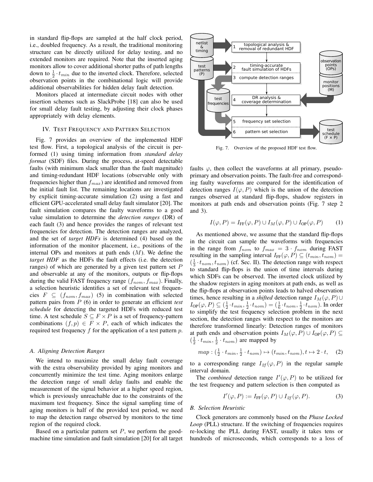in standard flip-flops are sampled at the half clock period, i.e., doubled frequency. As a result, the traditional monitoring structure can be directly utilized for delay testing, and no extended monitors are required. Note that the inserted aging monitors allow to cover additional shorter paths of path lengths down to  $\frac{1}{2} \cdot t_{min}$  due to the inverted clock. Therefore, selected observation points in the combinational logic will provide additional observabilities for hidden delay fault detection.

Monitors placed at intermediate circuit nodes with other insertion schemes such as SlackProbe [18] can also be used for small delay fault testing, by adjusting their clock phases appropriately with delay elements.

# IV. TEST FREQUENCY AND PATTERN SELECTION

Fig. 7 provides an overview of the implemented HDF test flow. First, a topological analysis of the circuit is performed (1) using timing information from *standard delay format* (SDF) files. During the process, at-speed detectable faults (with minimum slack smaller than the fault magnitude) and timing-redundant HDF locations (observable only with frequencies higher than  $f_{max}$ ) are identified and removed from the initial fault list. The remaining locations are investigated by explicit timing-accurate simulation (2) using a fast and efficient GPU-accelerated small delay fault simulator [20]. The fault simulation compares the faulty waveforms to a good value simulation to determine the *detection ranges* (DR) of each fault (3) and hence provides the ranges of relevant test frequencies for detection. The detection ranges are analyzed, and the set of *target HDFs* is determined (4) based on the information of the monitor placement, i.e., positions of the internal OPs and monitors at path ends  $(M)$ . We define the *target HDF* as the HDFs the fault effects (i.e. the detection ranges) of which are generated by a given test pattern set  $P$ and observable at any of the monitors, outputs or flip-flops during the valid FAST frequency range  $(f_{nom}, f_{max})$ . Finally, a selection heuristic identifies a set of relevant test frequencies  $F \subseteq (f_{nom}, f_{max})$  (5) in combination with selected pattern pairs from P (6) in order to generate an efficient *test schedule* for detecting the targeted HDFs with reduced test time. A test schedule  $S \subseteq F \times P$  is a set of frequency-pattern combinations  $(f, p) \in F \times P$ , each of which indicates the required test frequency  $f$  for the application of a test pattern  $p$ .

# *A. Aligning Detection Ranges*

We intend to maximize the small delay fault coverage with the extra observability provided by aging monitors and concurrently minimize the test time. Aging monitors enlarge the detection range of small delay faults and enable the measurement of the signal behavior at a higher speed region, which is previously unreachable due to the constraints of the maximum test frequency. Since the signal sampling time of aging monitors is half of the provided test period, we need to map the detection range observed by monitors to the time region of the required clock.

Based on a particular pattern set  $P$ , we perform the goodmachine time simulation and fault simulation [20] for all target



Fig. 7. Overview of the proposed HDF test flow.

faults  $\varphi$ , then collect the waveforms at all primary, pseudoprimary and observation points. The fault-free and corresponding faulty waveforms are compared for the identification of detection ranges  $I(\varphi, P)$  which is the union of the detection ranges observed at standard flip-flops, shadow registers in monitors at path ends and observation points (Fig. 7 step 2 and 3).

$$
I(\varphi, P) = I_{\text{FF}}(\varphi, P) \cup I_M(\varphi, P) \cup I_{\text{OP}}(\varphi, P) \tag{1}
$$

As mentioned above, we assume that the standard flip-flops in the circuit can sample the waveforms with frequencies in the range from  $f_{nom}$  to  $f_{max} = 3 \cdot f_{nom}$  during FAST resulting in the sampling interval  $I_{FF}(\varphi, P) \subseteq (t_{min}, t_{nom})$  =  $(\frac{1}{3} \cdot t_{nom}, t_{nom})$  (cf. Sec. II). The detection range with respect to standard flip-flops is the union of time intervals during which SDFs can be observed. The inverted clock utilized by the shadow registers in aging monitors at path ends, as well as the flip-flops at observation points leads to halved observation times, hence resulting in a *shifted* detection range  $I_M(\varphi, P) \cup$  $I_{\text{OP}}(\varphi, P) \subseteq (\frac{1}{2} \cdot t_{min}, \frac{1}{2} \cdot t_{nom}) = (\frac{1}{6} \cdot t_{nom}, \frac{1}{2} \cdot t_{nom})$ . In order to simplify the test frequency selection problem in the next section, the detection ranges with respect to the monitors are therefore transformed linearly: Detection ranges of monitors at path ends and observation points  $I_M(\varphi, P) \cup I_{OP}(\varphi, P) \subseteq$  $\left(\frac{1}{2} \cdot t_{min}, \frac{1}{2} \cdot t_{nom}\right)$  are mapped by

$$
map: (\frac{1}{2} \cdot t_{min}, \frac{1}{2} \cdot t_{nom}) \mapsto (t_{min}, t_{nom}), t \mapsto 2 \cdot t, \quad (2)
$$

to a corresponding range  $I_{2f}(\varphi, P)$  in the regular sample interval domain.

The *combined* detection range  $I'(\varphi, P)$  to be utilized for the test frequency and pattern selection is then computed as

$$
I'(\varphi, P) := I_{\text{FF}}(\varphi, P) \cup I_{2f}(\varphi, P). \tag{3}
$$

# *B. Selection Heuristic*

Clock generators are commonly based on the *Phase Locked Loop* (PLL) structure. If the switching of frequencies requires re-locking the PLL during FAST, usually it takes tens or hundreds of microseconds, which corresponds to a loss of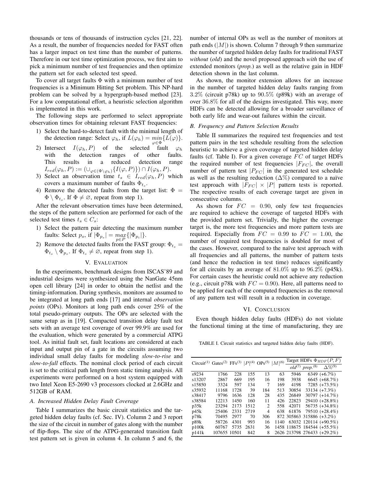thousands or tens of thousands of instruction cycles [21, 22]. As a result, the number of frequencies needed for FAST often has a larger impact on test time than the number of patterns. Therefore in our test time optimization process, we first aim to pick a minimum number of test frequencies and then optimize the pattern set for each selected test speed.

To cover all target faults  $\Phi$  with a minimum number of test frequencies is a Minimum Hitting Set problem. This NP-hard problem can be solved by a hypergraph-based method [23]. For a low computational effort, a heuristic selection algorithm is implemented in this work.

The following steps are performed to select appropriate observation times for obtaining relevant FAST frequencies:

- 1) Select the hard-to-detect fault with the minimal length of the detection range: Select  $\varphi_h$ , if  $L(\varphi_h) = \min_{\varphi \in \Phi} \{ L(\varphi) \}.$
- 2) Intersect  $I(\varphi_h, P)$  of the selected fault  $\varphi_h$ with the detection ranges of other faults. This results in a reduced detection range  $I_{red}(\varphi_h, P) := (\cup_{\varphi \in (\Phi \setminus \varphi_h)} \{I(\varphi, P)\}) \cap I(\varphi_h, P).$
- 3) Select an observation time  $t_s \in I_{red}(\varphi_h, P)$  which covers a maximum number of faults  $\Phi_{t_s}$ .
- 4) Remove the detected faults from the target list:  $\Phi =$  $\Phi \setminus \Phi_{t_s}$ . If  $\Phi \neq \emptyset$ , repeat from step 1).

After the relevant observation times have been determined, the steps of the pattern selection are performed for each of the selected test times  $t_s \in C_s$ :

- 1) Select the pattern pair detecting the maximum number faults: Select  $p_s$ , if  $|\Phi_{p_s}| = \max_{p \in P} \{|\Phi_{p_i}|\}.$
- 2) Remove the detected faults from the FAST group:  $\Phi_{t_s} =$  $\Phi_{t_s} \setminus \Phi_{p_s}$ . If  $\Phi_{t_s} \neq \emptyset$ , repeat from step 1).

# V. EVALUATION

In the experiments, benchmark designs from ISCAS'89 and industrial designs were synthesized using the NanGate 45nm open cell library [24] in order to obtain the netlist and the timing-information. During synthesis, monitors are assumed to be integrated at long path ends [17] and internal *observation points* (OPs). Monitors at long path ends cover 25% of the total pseudo-primary outputs. The OPs are selected with the same setup as in [19]. Compacted transition delay fault test sets with an average test coverage of over 99.9% are used for the evaluation, which were generated by a commercial ATPG tool. As initial fault set, fault locations are considered at each input and output pin of a gate in the circuits assuming two individual small delay faults for modeling *slow-to-rise* and *slow-to-fall* effects. The nominal clock period of each circuit is set to the critical path length from static timing analysis. All experiments were performed on a host system equipped with two Intel Xeon E5-2690 v3 processors clocked at 2.6GHz and 512GB of RAM.

#### *A. Increased Hidden Delay Fault Coverage*

Table I summarizes the basic circuit statistics and the targeted hidden delay faults (cf. Sec. IV). Column 2 and 3 report the size of the circuit in number of gates along with the number of flip-flops. The size of the ATPG-generated transition fault test pattern set is given in column 4. In column 5 and 6, the number of internal OPs as well as the number of monitors at path ends  $(|M|)$  is shown. Column 7 through 9 then summarize the number of targeted hidden delay faults for traditional FAST *without* (*old*) and the novel proposed approach *with* the use of extended monitors (*prop.*) as well as the relative gain in HDF detection shown in the last column.

As shown, the monitor extension allows for an increase in the number of targeted hidden delay faults ranging from 3.2% (circuit p78k) up to 90.5% (p89k) with an average of over 36.8% for all of the designs investigated. This way, more HDFs can be detected allowing for a broader surveillance of both early life and wear-out failures within the circuit.

#### *B. Frequency and Pattern Selection Results*

Table II summarizes the required test frequencies and test pattern pairs in the test schedule resulting from the selection heuristic to achieve a given coverage of targeted hidden delay faults (cf. Table I). For a given coverage  $FC$  of target HDFs the required number of test frequencies  $|F_{FC}|$ , the overall number of pattern test  $|P_{FC}|$  in the generated test schedule as well as the resulting reduction  $(\Delta\%)$  compared to a naïve test approach with  $|F_{FC}| \times |P|$  pattern tests is reported. The respective results of each coverage target are given in consecutive columns.

As shown for  $FC = 0.90$ , only few test frequencies are required to achieve the coverage of targeted HDFs with the provided pattern set. Trivially, the higher the coverage target is, the more test frequencies and more pattern tests are required. Especially from  $FC = 0.99$  to  $FC = 1.00$ , the number of required test frequencies is doubled for most of the cases. However, compared to the naïve test approach with all frequencies and all patterns, the number of pattern tests (and hence the reduction in test time) reduces significantly for all circuits by an average of  $81.0\%$  up to  $96.2\%$  (p45k). For certain cases the heuristic could not achieve any reduction (e.g., circuit p78k with  $FC = 0.90$ ). Here, all patterns need to be applied for each of the computed frequencies as the removal of any pattern test will result in a reduction in coverage.

#### VI. CONCLUSION

Even though hidden delay faults (HDFs) do not violate the functional timing at the time of manufacturing, they are

TABLE I. Circuit statistics and targeted hidden delay faults (HDF).

| Circuit <sup>(1)</sup> Gates <sup>(2)</sup> FFs <sup>(3)</sup> $ P ^{(4)}$ OPs <sup>(5)</sup> |              |      |      |                             | $ M ^{(6)}$ . | Target HDFs $\Phi_{HDF}(P, F)$ |                                  |                             |  |  |
|-----------------------------------------------------------------------------------------------|--------------|------|------|-----------------------------|---------------|--------------------------------|----------------------------------|-----------------------------|--|--|
|                                                                                               |              |      |      |                             |               |                                | $old^{(7)}$ prop. <sup>(8)</sup> | $\Delta\%^{(9)}$            |  |  |
| s9234                                                                                         | 1766         | 228  | 155  | 13                          | 63            | 5946                           |                                  | 6349 $(+6.7\%)$             |  |  |
| s13207                                                                                        | 2867         | 669  | 195  | 16                          | 198           | 3938                           |                                  | $6645 (+68.7%)$             |  |  |
| s15850                                                                                        | 3324         | 597  | 134  | 7                           | 169           | 4198                           |                                  | 7285 (+73.5%)               |  |  |
| s35932                                                                                        | 11168        | 1728 | 39   | 184                         | 513           | 30854                          |                                  | 33134 (+7.3%)               |  |  |
| s38417                                                                                        | 9796         | 1636 | 128  | 28                          | 435           | 26849                          |                                  | 30797 (+14.7%)              |  |  |
| s38584                                                                                        | 12213        | 1450 | 160  | 11                          | 426           | 22823                          |                                  | 29410 (+28.8%)              |  |  |
| p35k                                                                                          | 23294        | 2173 | 1512 | $\mathcal{D}_{\mathcal{L}}$ | 558           | 42071                          |                                  | 56735 (+34.8%)              |  |  |
| p45k                                                                                          | 25406        | 2331 | 2719 | 4                           | 638           | 61876                          |                                  | 79510 (+28.4%)              |  |  |
| p78k                                                                                          | 70495        | 2977 | 70   | 306                         |               |                                |                                  | 872 305863 315886 (+3.2%)   |  |  |
| p89k                                                                                          | 58726        | 4301 | 993  | 16                          | 1140          |                                |                                  | 63032 120114 (+90.5%)       |  |  |
| p100k                                                                                         | 60767        | 5735 | 2631 | 36                          |               |                                |                                  | 1458 118675 184544 (+55.5%) |  |  |
| p141k                                                                                         | 107655 10501 |      | 842  | 8                           |               |                                |                                  | 2626 213798 276433 (+29.2%) |  |  |